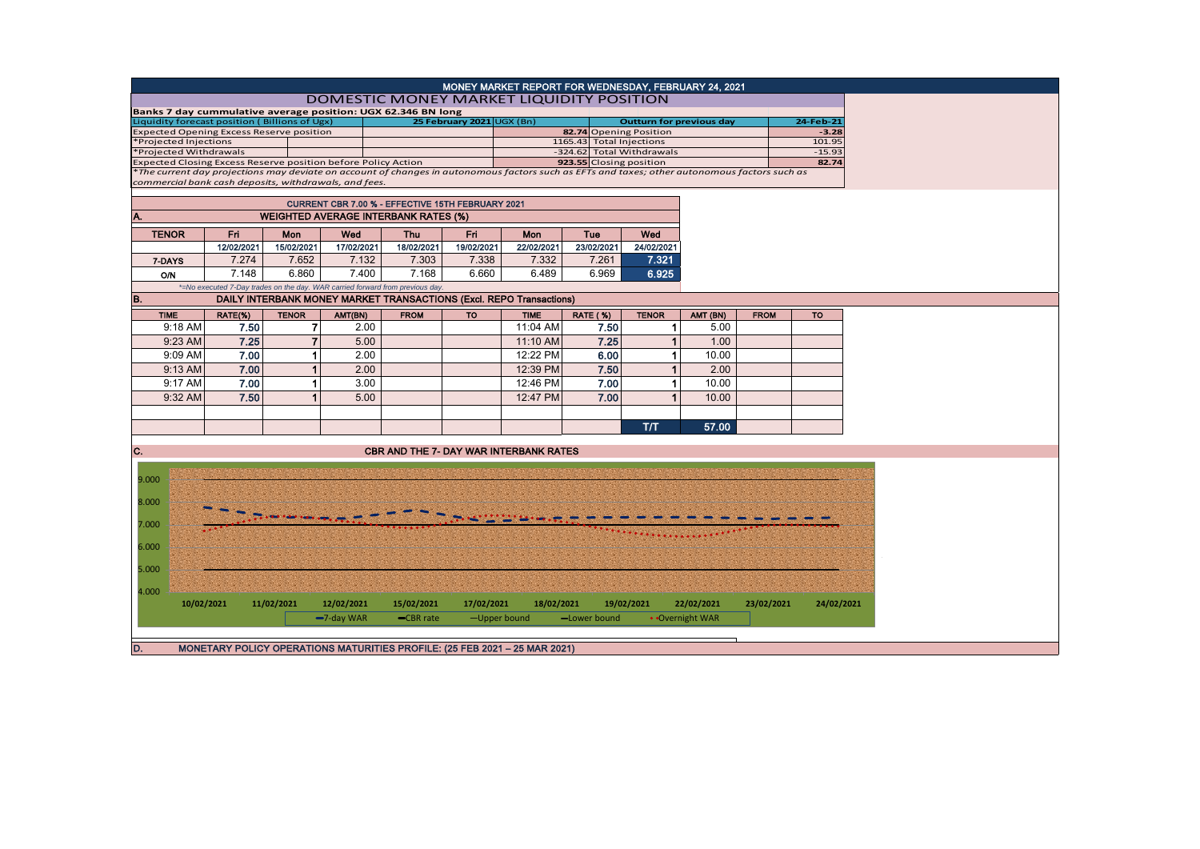| MONEY MARKET REPORT FOR WEDNESDAY, FEBRUARY 24, 2021                                                                                          |            |                |               |                                                                              |                           |              |                         |                                                    |                 |             |                   |  |  |
|-----------------------------------------------------------------------------------------------------------------------------------------------|------------|----------------|---------------|------------------------------------------------------------------------------|---------------------------|--------------|-------------------------|----------------------------------------------------|-----------------|-------------|-------------------|--|--|
| DOMESTIC MONEY MARKET LIQUIDITY POSITION                                                                                                      |            |                |               |                                                                              |                           |              |                         |                                                    |                 |             |                   |  |  |
| Banks 7 day cummulative average position: UGX 62.346 BN long                                                                                  |            |                |               |                                                                              |                           |              |                         |                                                    |                 |             |                   |  |  |
| Liquidity forecast position (Billions of Ugx)                                                                                                 |            |                |               |                                                                              | 25 February 2021 UGX (Bn) |              |                         | <b>Outturn for previous day</b>                    |                 |             | 24-Feb-21         |  |  |
| <b>Expected Opening Excess Reserve position</b>                                                                                               |            |                |               |                                                                              |                           |              |                         | 82.74 Opening Position<br>1165.43 Total Injections |                 |             | $-3.28$<br>101.95 |  |  |
| *Projected Injections<br>*Projected Withdrawals                                                                                               |            |                |               |                                                                              |                           |              |                         | -324.62 Total Withdrawals                          |                 |             | $-15.93$          |  |  |
| <b>Expected Closing Excess Reserve position before Policy Action</b>                                                                          |            |                |               |                                                                              |                           |              | 923.55 Closing position |                                                    |                 |             | 82.74             |  |  |
| *The current day projections may deviate on account of changes in autonomous factors such as EFTs and taxes; other autonomous factors such as |            |                |               |                                                                              |                           |              |                         |                                                    |                 |             |                   |  |  |
| commercial bank cash deposits, withdrawals, and fees.                                                                                         |            |                |               |                                                                              |                           |              |                         |                                                    |                 |             |                   |  |  |
|                                                                                                                                               |            |                |               | CURRENT CBR 7.00 % - EFFECTIVE 15TH FEBRUARY 2021                            |                           |              |                         |                                                    |                 |             |                   |  |  |
|                                                                                                                                               |            |                |               |                                                                              |                           |              |                         |                                                    |                 |             |                   |  |  |
| A.                                                                                                                                            |            |                |               |                                                                              |                           |              |                         |                                                    |                 |             |                   |  |  |
| <b>TENOR</b><br>Fri.<br>Mon                                                                                                                   |            |                | Wed           | Fri<br><b>Thu</b>                                                            |                           | <b>Mon</b>   | Tue                     | Wed                                                |                 |             |                   |  |  |
|                                                                                                                                               | 12/02/2021 | 15/02/2021     | 17/02/2021    | 18/02/2021                                                                   | 19/02/2021                | 22/02/2021   | 23/02/2021              | 24/02/2021                                         |                 |             |                   |  |  |
| 7-DAYS                                                                                                                                        | 7.274      | 7.652          | 7.132         | 7.303                                                                        | 7.338                     | 7.332        | 7.261                   | 7.321                                              |                 |             |                   |  |  |
| <b>O/N</b>                                                                                                                                    | 7.148      | 6.860          | 7.400         | 7.168                                                                        | 6.660                     | 6.489        | 6.969                   | 6.925                                              |                 |             |                   |  |  |
|                                                                                                                                               |            |                |               | *=No executed 7-Day trades on the day. WAR carried forward from previous day |                           |              |                         |                                                    |                 |             |                   |  |  |
| B.                                                                                                                                            |            |                |               | DAILY INTERBANK MONEY MARKET TRANSACTIONS (Excl. REPO Transactions)          |                           |              |                         |                                                    |                 |             |                   |  |  |
|                                                                                                                                               |            |                |               |                                                                              |                           |              |                         |                                                    |                 |             |                   |  |  |
| <b>TIME</b>                                                                                                                                   | RATE(%)    | <b>TENOR</b>   | AMT(BN)       | <b>FROM</b>                                                                  | <b>TO</b>                 | <b>TIME</b>  | <b>RATE (%)</b>         | <b>TENOR</b>                                       | AMT (BN)        | <b>FROM</b> | <b>TO</b>         |  |  |
| 9:18 AM                                                                                                                                       | 7.50       | 7              | 2.00          |                                                                              |                           | 11:04 AM     | 7.50                    | $\mathbf 1$                                        | 5.00            |             |                   |  |  |
| 9:23 AM                                                                                                                                       | 7.25       | $\overline{7}$ | 5.00          |                                                                              |                           | 11:10 AM     | 7.25                    | $\mathbf{1}$                                       | 1.00            |             |                   |  |  |
| 9:09 AM                                                                                                                                       | 7.00       | 1              | 2.00          |                                                                              |                           | 12:22 PM     | 6.00                    | $\mathbf{1}$                                       | 10.00           |             |                   |  |  |
| 9:13 AM                                                                                                                                       | 7.00       | 1              | 2.00          |                                                                              |                           | 12:39 PM     | 7.50                    | 1                                                  | 2.00            |             |                   |  |  |
| 9:17 AM                                                                                                                                       | 7.00       | 1              | 3.00          |                                                                              |                           | 12:46 PM     | 7.00                    | $\mathbf{1}$                                       | 10.00           |             |                   |  |  |
| 9:32 AM                                                                                                                                       | 7.50       | 1              | 5.00          |                                                                              |                           | 12:47 PM     | 7.00                    | $\mathbf{1}$                                       | 10.00           |             |                   |  |  |
|                                                                                                                                               |            |                |               |                                                                              |                           |              |                         |                                                    |                 |             |                   |  |  |
|                                                                                                                                               |            |                |               |                                                                              |                           |              |                         |                                                    |                 |             |                   |  |  |
|                                                                                                                                               |            |                |               |                                                                              |                           |              |                         | T/T                                                | 57.00           |             |                   |  |  |
|                                                                                                                                               |            |                |               |                                                                              |                           |              |                         |                                                    |                 |             |                   |  |  |
| C.                                                                                                                                            |            |                |               | <b>CBR AND THE 7- DAY WAR INTERBANK RATES</b>                                |                           |              |                         |                                                    |                 |             |                   |  |  |
|                                                                                                                                               |            |                |               |                                                                              |                           |              |                         |                                                    |                 |             |                   |  |  |
| 9.000                                                                                                                                         |            |                |               |                                                                              |                           |              |                         |                                                    |                 |             |                   |  |  |
|                                                                                                                                               |            |                |               |                                                                              |                           |              |                         |                                                    |                 |             |                   |  |  |
| 8.000                                                                                                                                         |            |                |               |                                                                              |                           |              |                         |                                                    |                 |             |                   |  |  |
|                                                                                                                                               |            |                |               |                                                                              |                           |              |                         |                                                    |                 |             |                   |  |  |
| 7.000                                                                                                                                         |            |                |               |                                                                              |                           |              |                         |                                                    |                 |             |                   |  |  |
|                                                                                                                                               |            |                |               |                                                                              |                           |              |                         |                                                    |                 |             |                   |  |  |
| 6.000                                                                                                                                         |            |                |               |                                                                              |                           |              |                         |                                                    |                 |             |                   |  |  |
|                                                                                                                                               |            |                |               |                                                                              |                           |              |                         |                                                    |                 |             |                   |  |  |
| 5.000                                                                                                                                         |            |                |               |                                                                              |                           |              |                         |                                                    |                 |             |                   |  |  |
| 4.000                                                                                                                                         |            |                |               |                                                                              |                           |              |                         |                                                    |                 |             |                   |  |  |
| 10/02/2021                                                                                                                                    |            | 11/02/2021     | 12/02/2021    | 15/02/2021                                                                   | 17/02/2021                | 18/02/2021   |                         | 19/02/2021                                         | 22/02/2021      | 23/02/2021  | 24/02/2021        |  |  |
|                                                                                                                                               |            |                | $-7$ -day WAR | -CBR rate                                                                    |                           | -Upper bound | -Lower bound            |                                                    | • Overnight WAR |             |                   |  |  |
|                                                                                                                                               |            |                |               |                                                                              |                           |              |                         |                                                    |                 |             |                   |  |  |
|                                                                                                                                               |            |                |               |                                                                              |                           |              |                         |                                                    |                 |             |                   |  |  |
| D.                                                                                                                                            |            |                |               | MONETARY POLICY OPERATIONS MATURITIES PROFILE: (25 FEB 2021 - 25 MAR 2021)   |                           |              |                         |                                                    |                 |             |                   |  |  |